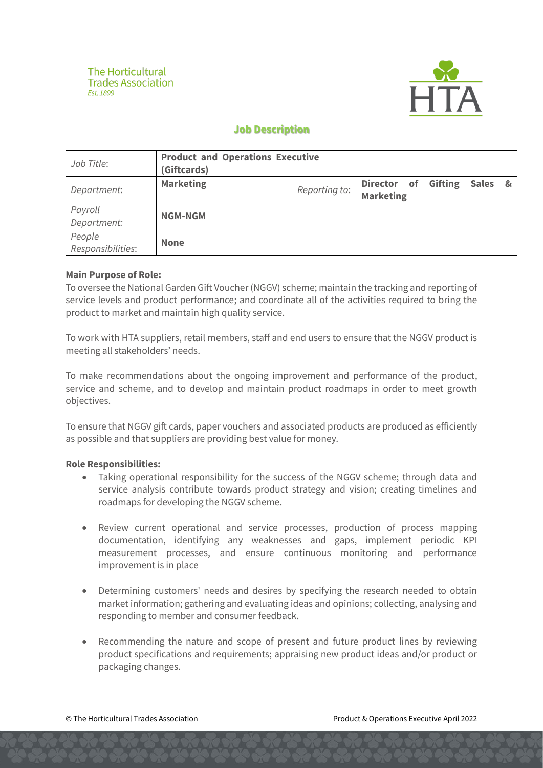

# **Job Description**

| Job Title:                  | <b>Product and Operations Executive</b><br>(Giftcards) |               |                                         |         |  |
|-----------------------------|--------------------------------------------------------|---------------|-----------------------------------------|---------|--|
| Department:                 | <b>Marketing</b>                                       | Reporting to: | Director of Gifting<br><b>Marketing</b> | Sales & |  |
| Payroll<br>Department:      | <b>NGM-NGM</b>                                         |               |                                         |         |  |
| People<br>Responsibilities: | <b>None</b>                                            |               |                                         |         |  |

### **Main Purpose of Role:**

To oversee the National Garden Gift Voucher (NGGV) scheme; maintain the tracking and reporting of service levels and product performance; and coordinate all of the activities required to bring the product to market and maintain high quality service.

To work with HTA suppliers, retail members, staff and end users to ensure that the NGGV product is meeting all stakeholders' needs.

To make recommendations about the ongoing improvement and performance of the product, service and scheme, and to develop and maintain product roadmaps in order to meet growth objectives.

To ensure that NGGV gift cards, paper vouchers and associated products are produced as efficiently as possible and that suppliers are providing best value for money.

#### **Role Responsibilities:**

- Taking operational responsibility for the success of the NGGV scheme: through data and service analysis contribute towards product strategy and vision; creating timelines and roadmaps for developing the NGGV scheme.
- Review current operational and service processes, production of process mapping documentation, identifying any weaknesses and gaps, implement periodic KPI measurement processes, and ensure continuous monitoring and performance improvement is in place
- Determining customers' needs and desires by specifying the research needed to obtain market information; gathering and evaluating ideas and opinions; collecting, analysing and responding to member and consumer feedback.
- Recommending the nature and scope of present and future product lines by reviewing product specifications and requirements; appraising new product ideas and/or product or packaging changes.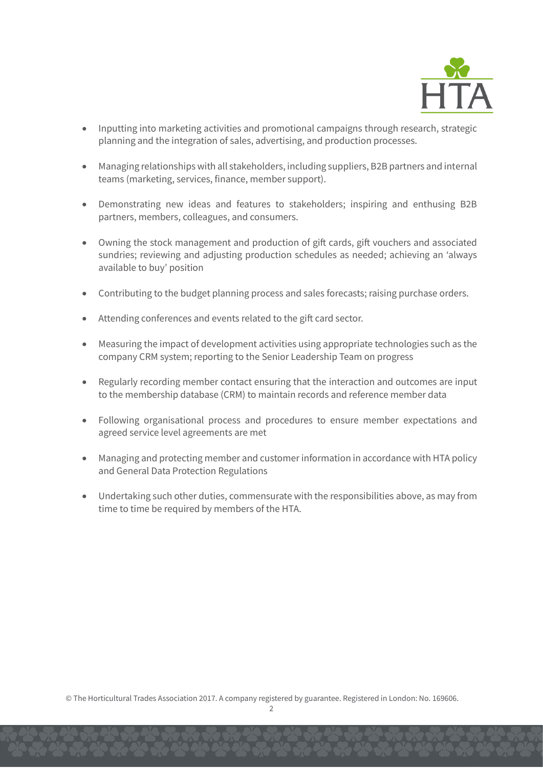

- Inputting into marketing activities and promotional campaigns through research, strategic planning and the integration of sales, advertising, and production processes.
- Managing relationships with all stakeholders, including suppliers, B2B partners and internal teams (marketing, services, finance, member support).
- Demonstrating new ideas and features to stakeholders; inspiring and enthusing B2B partners, members, colleagues, and consumers.
- Owning the stock management and production of gift cards, gift vouchers and associated sundries; reviewing and adjusting production schedules as needed; achieving an 'always available to buy' position
- Contributing to the budget planning process and sales forecasts; raising purchase orders.
- Attending conferences and events related to the gift card sector.
- Measuring the impact of development activities using appropriate technologies such as the company CRM system; reporting to the Senior Leadership Team on progress
- Regularly recording member contact ensuring that the interaction and outcomes are input to the membership database (CRM) to maintain records and reference member data
- Following organisational process and procedures to ensure member expectations and agreed service level agreements are met
- Managing and protecting member and customer information in accordance with HTA policy and General Data Protection Regulations
- Undertaking such other duties, commensurate with the responsibilities above, as may from time to time be required by members of the HTA.

© The Horticultural Trades Association 2017. A company registered by guarantee. Registered in London: No. 169606.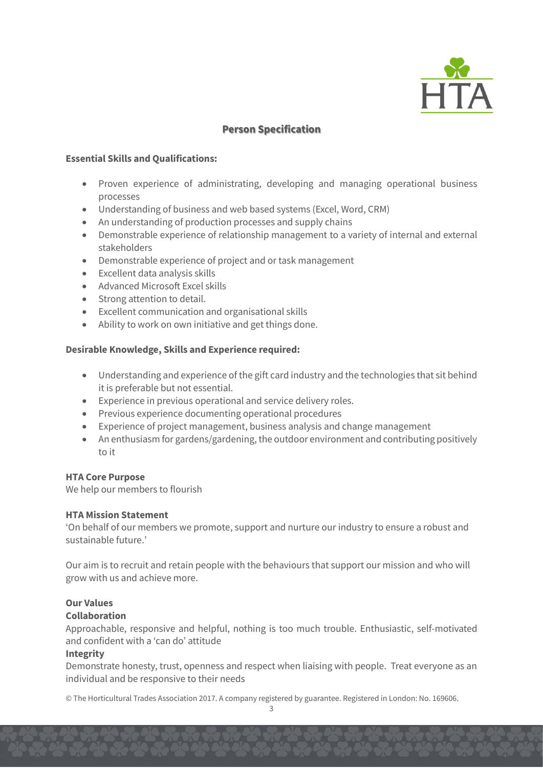

## **Person Specification**

### **Essential Skills and Qualifications:**

- Proven experience of administrating, developing and managing operational business processes
- Understanding of business and web based systems (Excel, Word, CRM)
- An understanding of production processes and supply chains
- Demonstrable experience of relationship management to a variety of internal and external stakeholders
- Demonstrable experience of project and or task management
- Excellent data analysis skills
- Advanced Microsoft Excel skills
- Strong attention to detail.
- Excellent communication and organisational skills
- Ability to work on own initiative and get things done.

## **Desirable Knowledge, Skills and Experience required:**

- Understanding and experience of the gift card industry and the technologies that sit behind it is preferable but not essential.
- Experience in previous operational and service delivery roles.
- Previous experience documenting operational procedures
- Experience of project management, business analysis and change management
- An enthusiasm for gardens/gardening, the outdoor environment and contributing positively to it

## **HTA Core Purpose**

We help our members to flourish

#### **HTA Mission Statement**

'On behalf of our members we promote, support and nurture our industry to ensure a robust and sustainable future.'

Our aim is to recruit and retain people with the behaviours that support our mission and who will grow with us and achieve more.

## **Our Values**

## **Collaboration**

Approachable, responsive and helpful, nothing is too much trouble. Enthusiastic, self-motivated and confident with a 'can do' attitude

## **Integrity**

Demonstrate honesty, trust, openness and respect when liaising with people. Treat everyone as an individual and be responsive to their needs

© The Horticultural Trades Association 2017. A company registered by guarantee. Registered in London: No. 169606.